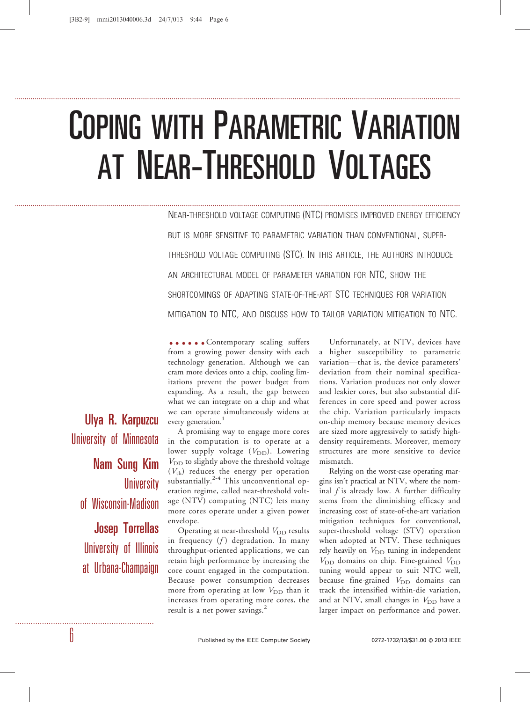# COPING WITH PARAMETRIC VARIATION AT NEAR-THRESHOLD VOLTAGES

..........................................................................................................................................................................................................................

..........................................................................................................................................................................................................................

NEAR-THRESHOLD VOLTAGE COMPUTING (NTC) PROMISES IMPROVED ENERGY EFFICIENCY BUT IS MORE SENSITIVE TO PARAMETRIC VARIATION THAN CONVENTIONAL, SUPER-THRESHOLD VOLTAGE COMPUTING (STC). IN THIS ARTICLE, THE AUTHORS INTRODUCE AN ARCHITECTURAL MODEL OF PARAMETER VARIATION FOR NTC, SHOW THE SHORTCOMINGS OF ADAPTING STATE-OF-THE-ART STC TECHNIQUES FOR VARIATION MITIGATION TO NTC, AND DISCUSS HOW TO TAILOR VARIATION MITIGATION TO NTC.

**.....** Contemporary scaling suffers from a growing power density with each technology generation. Although we can cram more devices onto a chip, cooling limitations prevent the power budget from expanding. As a result, the gap between what we can integrate on a chip and what we can operate simultaneously widens at every generation.<sup>1</sup>

A promising way to engage more cores in the computation is to operate at a lower supply voltage  $(V_{DD})$ . Lowering  $V_{\text{DD}}$  to slightly above the threshold voltage  $(V_{\text{th}})$  reduces the energy per operation substantially.<sup>2-4</sup> This unconventional operation regime, called near-threshold voltage (NTV) computing (NTC) lets many more cores operate under a given power envelope.

Operating at near-threshold  $V_{\text{DD}}$  results in frequency  $(f)$  degradation. In many throughput-oriented applications, we can retain high performance by increasing the core count engaged in the computation. Because power consumption decreases more from operating at low  $V_{\text{DD}}$  than it increases from operating more cores, the result is a net power savings. $<sup>2</sup>$ </sup>

Unfortunately, at NTV, devices have a higher susceptibility to parametric variation—that is, the device parameters' deviation from their nominal specifications. Variation produces not only slower and leakier cores, but also substantial differences in core speed and power across the chip. Variation particularly impacts on-chip memory because memory devices are sized more aggressively to satisfy highdensity requirements. Moreover, memory structures are more sensitive to device mismatch.

Relying on the worst-case operating margins isn't practical at NTV, where the nominal  $f$  is already low. A further difficulty stems from the diminishing efficacy and increasing cost of state-of-the-art variation mitigation techniques for conventional, super-threshold voltage (STV) operation when adopted at NTV. These techniques rely heavily on  $V_{\text{DD}}$  tuning in independent  $V_{\text{DD}}$  domains on chip. Fine-grained  $V_{\text{DD}}$ tuning would appear to suit NTC well, because fine-grained  $V_{\text{DD}}$  domains can track the intensified within-die variation, and at NTV, small changes in  $V_{\text{DD}}$  have a larger impact on performance and power.

Ulya R. Karpuzcu University of Minnesota Nam Sung Kim **University** of Wisconsin-Madison Josep Torrellas

University of Illinois at Urbana-Champaign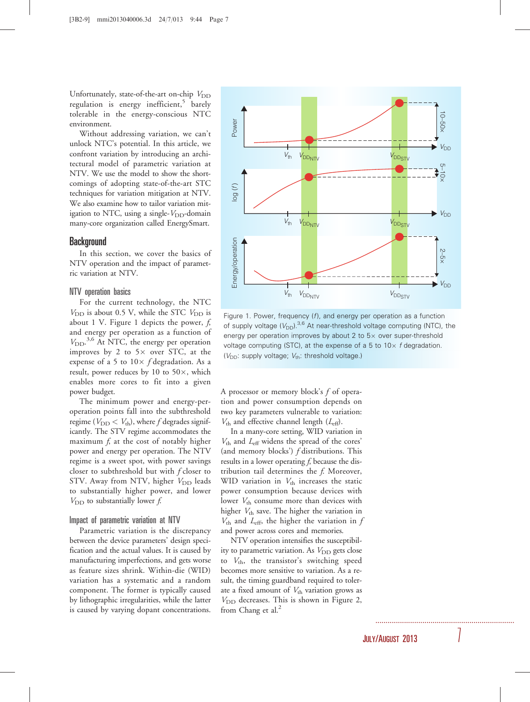Unfortunately, state-of-the-art on-chip  $V_{\text{DD}}$ regulation is energy inefficient,<sup>5</sup> barely tolerable in the energy-conscious NTC environment.

Without addressing variation, we can't unlock NTC's potential. In this article, we confront variation by introducing an architectural model of parametric variation at NTV. We use the model to show the shortcomings of adopting state-of-the-art STC techniques for variation mitigation at NTV. We also examine how to tailor variation mitigation to NTC, using a single- $V_{DD}$ -domain many-core organization called EnergySmart.

## Background

In this section, we cover the basics of NTV operation and the impact of parametric variation at NTV.

### NTV operation basics

For the current technology, the NTC  $V_{\text{DD}}$  is about 0.5 V, while the STC  $V_{\text{DD}}$  is about 1 V. Figure 1 depicts the power,  $f$ , and energy per operation as a function of V<sub>DD</sub>.<sup>3,6</sup> At NTC, the energy per operation improves by 2 to  $5 \times$  over STC, at the expense of a 5 to  $10 \times f$  degradation. As a result, power reduces by 10 to  $50\times$ , which enables more cores to fit into a given power budget.

The minimum power and energy-peroperation points fall into the subthreshold regime ( $V_{\text{DD}} < V_{\text{th}}$ ), where f degrades significantly. The STV regime accommodates the maximum  $f<sub>i</sub>$  at the cost of notably higher power and energy per operation. The NTV regime is a sweet spot, with power savings closer to subthreshold but with f closer to STV. Away from NTV, higher  $V_{DD}$  leads to substantially higher power, and lower  $V_{\text{DD}}$  to substantially lower  $f$ .

## Impact of parametric variation at NTV

Parametric variation is the discrepancy between the device parameters' design specification and the actual values. It is caused by manufacturing imperfections, and gets worse as feature sizes shrink. Within-die (WID) variation has a systematic and a random component. The former is typically caused by lithographic irregularities, while the latter is caused by varying dopant concentrations.



Figure 1. Power, frequency  $(f)$ , and energy per operation as a function of supply voltage  $(V_{DD})^{3,6}$  At near-threshold voltage computing (NTC), the energy per operation improves by about 2 to  $5\times$  over super-threshold voltage computing (STC), at the expense of a 5 to  $10\times$  f degradation.  $(V_{DD}:$  supply voltage;  $V_{th}:$  threshold voltage.)

A processor or memory block's  $f$  of operation and power consumption depends on two key parameters vulnerable to variation:  $V_{\text{th}}$  and effective channel length  $(L_{\text{eff}})$ .

In a many-core setting, WID variation in  $V_{\text{th}}$  and  $L_{\text{eff}}$  widens the spread of the cores' (and memory blocks') f distributions. This results in a lower operating  $f$ , because the distribution tail determines the  $f$ . Moreover, WID variation in  $V_{\text{th}}$  increases the static power consumption because devices with lower  $V_{\text{th}}$  consume more than devices with higher  $V_{\text{th}}$  save. The higher the variation in  $V_{\text{th}}$  and  $L_{\text{eff}}$ , the higher the variation in  $f$ and power across cores and memories.

NTV operation intensifies the susceptibility to parametric variation. As  $V_{\text{DD}}$  gets close to  $V_{\text{th}}$ , the transistor's switching speed becomes more sensitive to variation. As a result, the timing guardband required to tolerate a fixed amount of  $V_{\text{th}}$  variation grows as  $V<sub>DD</sub>$  decreases. This is shown in Figure 2, from Chang et al. $<sup>2</sup>$ </sup>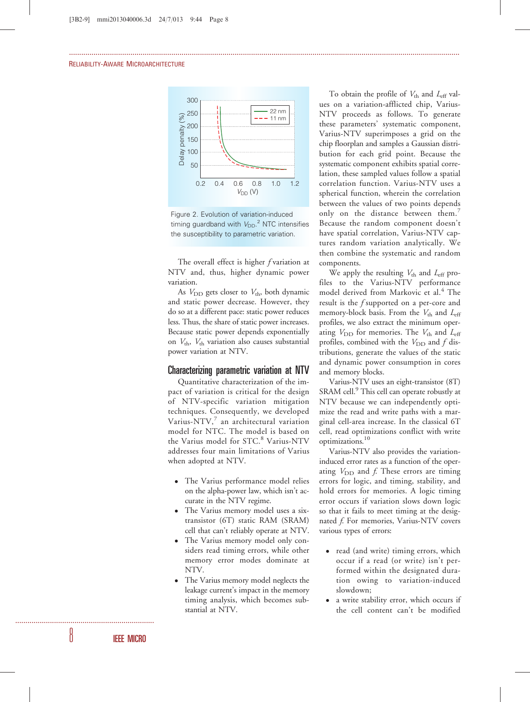

...............................................................................................................................................................................................

Figure 2. Evolution of variation-induced timing guardband with  $V_{DD}$ .<sup>2</sup> NTC intensifies the susceptibility to parametric variation.

The overall effect is higher f variation at NTV and, thus, higher dynamic power variation.

As  $V_{\text{DD}}$  gets closer to  $V_{\text{th}}$ , both dynamic and static power decrease. However, they do so at a different pace: static power reduces less. Thus, the share of static power increases. Because static power depends exponentially on  $V_{\text{th}}$ ,  $V_{\text{th}}$  variation also causes substantial power variation at NTV.

## Characterizing parametric variation at NTV

Quantitative characterization of the impact of variation is critical for the design of NTV-specific variation mitigation techniques. Consequently, we developed Varius-NTV, $^7$  an architectural variation model for NTC. The model is based on the Varius model for STC.<sup>8</sup> Varius-NTV addresses four main limitations of Varius when adopted at NTV.

- The Varius performance model relies on the alpha-power law, which isn't accurate in the NTV regime.
- The Varius memory model uses a sixtransistor (6T) static RAM (SRAM) cell that can't reliably operate at NTV.
- The Varius memory model only considers read timing errors, while other memory error modes dominate at NTV.
- The Varius memory model neglects the leakage current's impact in the memory timing analysis, which becomes substantial at NTV.

To obtain the profile of  $V_{\text{th}}$  and  $L_{\text{eff}}$  values on a variation-afflicted chip, Varius-NTV proceeds as follows. To generate these parameters' systematic component, Varius-NTV superimposes a grid on the chip floorplan and samples a Gaussian distribution for each grid point. Because the systematic component exhibits spatial correlation, these sampled values follow a spatial correlation function. Varius-NTV uses a spherical function, wherein the correlation between the values of two points depends only on the distance between them.<sup>7</sup> Because the random component doesn't have spatial correlation, Varius-NTV captures random variation analytically. We then combine the systematic and random components.

We apply the resulting  $V_{\text{th}}$  and  $L_{\text{eff}}$  profiles to the Varius-NTV performance model derived from Markovic et al.<sup>4</sup> The result is the f supported on a per-core and memory-block basis. From the  $V_{th}$  and  $L_{eff}$ profiles, we also extract the minimum operating  $V_{\text{DD}}$  for memories. The  $V_{\text{th}}$  and  $L_{\text{eff}}$ profiles, combined with the  $V_{\text{DD}}$  and f distributions, generate the values of the static and dynamic power consumption in cores and memory blocks.

Varius-NTV uses an eight-transistor (8T) SRAM cell.<sup>9</sup> This cell can operate robustly at NTV because we can independently optimize the read and write paths with a marginal cell-area increase. In the classical 6T cell, read optimizations conflict with write optimizations.<sup>10</sup>

Varius-NTV also provides the variationinduced error rates as a function of the operating  $V_{\text{DD}}$  and f. These errors are timing errors for logic, and timing, stability, and hold errors for memories. A logic timing error occurs if variation slows down logic so that it fails to meet timing at the designated f. For memories, Varius-NTV covers various types of errors:

- read (and write) timing errors, which occur if a read (or write) isn't performed within the designated duration owing to variation-induced slowdown;
- a write stability error, which occurs if the cell content can't be modified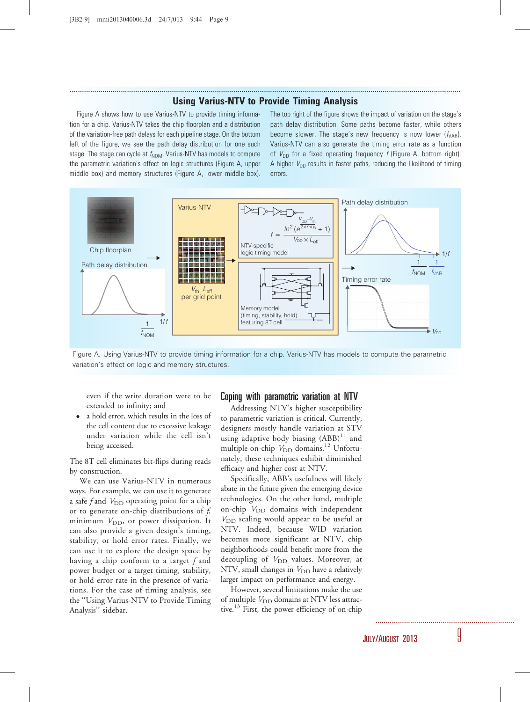# ............................................................................................................................................................................................... Using Varius-NTV to Provide Timing Analysis

Figure A shows how to use Varius-NTV to provide timing information for a chip. Varius-NTV takes the chip floorplan and a distribution of the variation-free path delays for each pipeline stage. On the bottom left of the figure, we see the path delay distribution for one such stage. The stage can cycle at  $f_{\text{NOM}}$ . Varius-NTV has models to compute the parametric variation's effect on logic structures (Figure A, upper middle box) and memory structures (Figure A, lower middle box).

The top right of the figure shows the impact of variation on the stage's path delay distribution. Some paths become faster, while others become slower. The stage's new frequency is now lower  $(f_{VAR})$ . Varius-NTV can also generate the timing error rate as a function of  $V_{DD}$  for a fixed operating frequency f (Figure A, bottom right). A higher  $V_{DD}$  results in faster paths, reducing the likelihood of timing errors.



Figure A. Using Varius-NTV to provide timing information for a chip. Varius-NTV has models to compute the parametric variation's effect on logic and memory structures.

even if the write duration were to be extended to infinity; and

 a hold error, which results in the loss of the cell content due to excessive leakage under variation while the cell isn't being accessed.

The 8T cell eliminates bit-flips during reads by construction.

We can use Varius-NTV in numerous ways. For example, we can use it to generate a safe f and  $V_{\text{DD}}$  operating point for a chip or to generate on-chip distributions of  $f$ , minimum  $V_{\text{DD}}$ , or power dissipation. It can also provide a given design's timing, stability, or hold error rates. Finally, we can use it to explore the design space by having a chip conform to a target  $f$  and power budget or a target timing, stability, or hold error rate in the presence of variations. For the case of timing analysis, see the ''Using Varius-NTV to Provide Timing Analysis'' sidebar.

## Coping with parametric variation at NTV

Addressing NTV's higher susceptibility to parametric variation is critical. Currently, designers mostly handle variation at STV using adaptive body biasing  $(ABB)^{11}$  and multiple on-chip  $V_{\text{DD}}$  domains.<sup>12</sup> Unfortunately, these techniques exhibit diminished efficacy and higher cost at NTV.

Specifically, ABB's usefulness will likely abate in the future given the emerging device technologies. On the other hand, multiple on-chip  $V_{\text{DD}}$  domains with independent  $V_{\text{DD}}$  scaling would appear to be useful at NTV. Indeed, because WID variation becomes more significant at NTV, chip neighborhoods could benefit more from the decoupling of  $V_{\text{DD}}$  values. Moreover, at NTV, small changes in  $V_{\text{DD}}$  have a relatively larger impact on performance and energy.

However, several limitations make the use of multiple  $V_{\text{DD}}$  domains at NTV less attractive.<sup>13</sup> First, the power efficiency of on-chip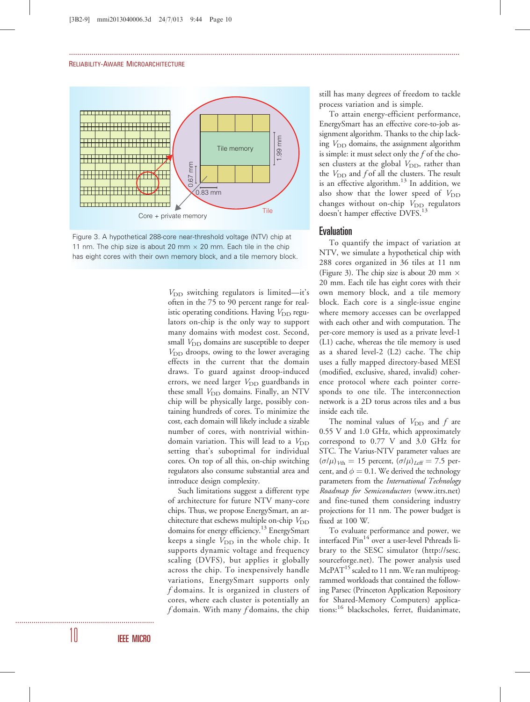#### RELIABILITY-AWARE MICROARCHITECTURE





 $V_{\text{DD}}$  switching regulators is limited—it's often in the 75 to 90 percent range for realistic operating conditions. Having  $V_{\text{DD}}$  regulators on-chip is the only way to support many domains with modest cost. Second, small  $V_{\text{DD}}$  domains are susceptible to deeper  $V<sub>DD</sub>$  droops, owing to the lower averaging effects in the current that the domain draws. To guard against droop-induced errors, we need larger  $V_{\text{DD}}$  guardbands in these small  $V_{\text{DD}}$  domains. Finally, an NTV chip will be physically large, possibly containing hundreds of cores. To minimize the cost, each domain will likely include a sizable number of cores, with nontrivial withindomain variation. This will lead to a  $V_{\text{DD}}$ setting that's suboptimal for individual cores. On top of all this, on-chip switching regulators also consume substantial area and introduce design complexity.

...............................................................................................................................................................................................

Such limitations suggest a different type of architecture for future NTV many-core chips. Thus, we propose EnergySmart, an architecture that eschews multiple on-chip  $V_{\text{DD}}$ domains for energy efficiency.<sup>13</sup> EnergySmart keeps a single  $V_{\text{DD}}$  in the whole chip. It supports dynamic voltage and frequency scaling (DVFS), but applies it globally across the chip. To inexpensively handle variations, EnergySmart supports only f domains. It is organized in clusters of cores, where each cluster is potentially an  $f$  domain. With many  $f$  domains, the chip

still has many degrees of freedom to tackle process variation and is simple.

To attain energy-efficient performance, EnergySmart has an effective core-to-job assignment algorithm. Thanks to the chip lacking  $V_{\text{DD}}$  domains, the assignment algorithm is simple: it must select only the  $f$  of the chosen clusters at the global  $V_{\text{DD}}$ , rather than the  $V_{\text{DD}}$  and f of all the clusters. The result is an effective algorithm. $13$  In addition, we also show that the lower speed of  $V_{\text{DD}}$ changes without on-chip  $V_{\text{DD}}$  regulators doesn't hamper effective DVFS.<sup>13</sup>

## Evaluation

To quantify the impact of variation at NTV, we simulate a hypothetical chip with 288 cores organized in 36 tiles at 11 nm (Figure 3). The chip size is about 20 mm  $\times$ 20 mm. Each tile has eight cores with their own memory block, and a tile memory block. Each core is a single-issue engine where memory accesses can be overlapped with each other and with computation. The per-core memory is used as a private level-1 (L1) cache, whereas the tile memory is used as a shared level-2 (L2) cache. The chip uses a fully mapped directory-based MESI (modified, exclusive, shared, invalid) coherence protocol where each pointer corresponds to one tile. The interconnection network is a 2D torus across tiles and a bus inside each tile.

The nominal values of  $V_{\text{DD}}$  and  $f$  are 0.55 V and 1.0 GHz, which approximately correspond to 0.77 V and 3.0 GHz for STC. The Varius-NTV parameter values are  $(\sigma/\mu)_{Vth} = 15$  percent,  $(\sigma/\mu)_{Leff} = 7.5$  percent, and  $\phi = 0.1$ . We derived the technology parameters from the *International Technology* Roadmap for Semiconductors (www.itrs.net) and fine-tuned them considering industry projections for 11 nm. The power budget is fixed at 100 W.

To evaluate performance and power, we interfaced Pin<sup>14</sup> over a user-level Pthreads library to the SESC simulator (http://sesc. sourceforge.net). The power analysis used  $McPAT<sup>15</sup>$  scaled to 11 nm. We ran multiprogrammed workloads that contained the following Parsec (Princeton Application Repository for Shared-Memory Computers) applications:<sup>16</sup> blackscholes, ferret, fluidanimate,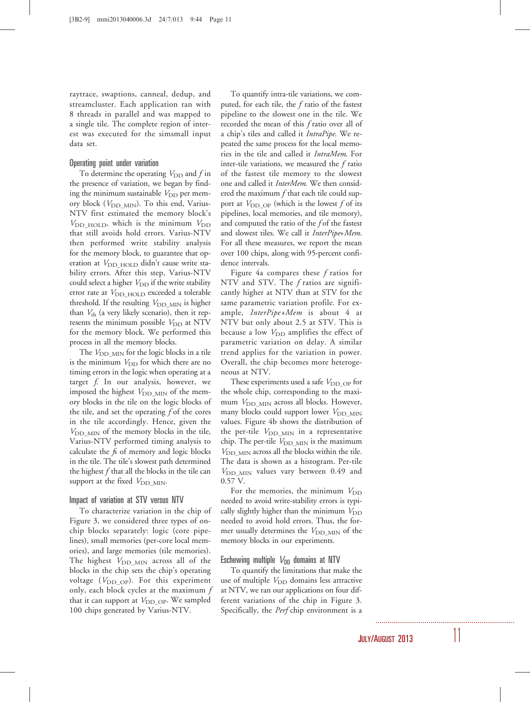raytrace, swaptions, canneal, dedup, and streamcluster. Each application ran with 8 threads in parallel and was mapped to a single tile. The complete region of interest was executed for the simsmall input data set.

## Operating point under variation

To determine the operating  $V_{\text{DD}}$  and f in the presence of variation, we began by finding the minimum sustainable  $V_{\text{DD}}$  per memory block ( $V_{\text{DD\_MIN}}$ ). To this end, Varius-NTV first estimated the memory block's  $V_{\text{DD\_HOLD}}$ , which is the minimum  $V_{\text{DD}}$ that still avoids hold errors. Varius-NTV then performed write stability analysis for the memory block, to guarantee that operation at  $V_{\text{DD HOLD}}$  didn't cause write stability errors. After this step, Varius-NTV could select a higher  $V_{\text{DD}}$  if the write stability error rate at V<sub>DD\_HOLD</sub> exceeded a tolerable threshold. If the resulting  $V_{\text{DD\_MIN}}$  is higher than  $V_{\text{th}}$  (a very likely scenario), then it represents the minimum possible  $V_{DD}$  at NTV for the memory block. We performed this process in all the memory blocks.

The  $V_{\text{DD-MIN}}$  for the logic blocks in a tile is the minimum  $V_{\text{DD}}$  for which there are no timing errors in the logic when operating at a target  $f$ . In our analysis, however, we imposed the highest  $V_{\text{DD\_MIN}}$  of the memory blocks in the tile on the logic blocks of the tile, and set the operating  $f$  of the cores in the tile accordingly. Hence, given the  $V_{\text{DD-MIN}}$  of the memory blocks in the tile, Varius-NTV performed timing analysis to calculate the fs of memory and logic blocks in the tile. The tile's slowest path determined the highest  $f$  that all the blocks in the tile can support at the fixed  $V_{\text{DD\_MIN}}$ .

## Impact of variation at STV versus NTV

To characterize variation in the chip of Figure 3, we considered three types of onchip blocks separately: logic (core pipelines), small memories (per-core local memories), and large memories (tile memories). The highest  $V_{\text{DD\_MIN}}$  across all of the blocks in the chip sets the chip's operating voltage  $(V_{\text{DD OP}})$ . For this experiment only, each block cycles at the maximum  $f$ that it can support at  $V_{\text{DDOP}}$ . We sampled 100 chips generated by Varius-NTV.

To quantify intra-tile variations, we computed, for each tile, the f ratio of the fastest pipeline to the slowest one in the tile. We recorded the mean of this f ratio over all of a chip's tiles and called it IntraPipe. We repeated the same process for the local memories in the tile and called it IntraMem. For inter-tile variations, we measured the  $f$  ratio of the fastest tile memory to the slowest one and called it *InterMem*. We then considered the maximum  $f$  that each tile could support at  $V_{\text{DD\_OP}}$  (which is the lowest f of its pipelines, local memories, and tile memory), and computed the ratio of the  $f$  of the fastest and slowest tiles. We call it InterPipe+Mem. For all these measures, we report the mean over 100 chips, along with 95-percent confidence intervals.

Figure 4a compares these  $f$  ratios for NTV and STV. The f ratios are significantly higher at NTV than at STV for the same parametric variation profile. For example, *InterPipe+Mem* is about 4 at NTV but only about 2.5 at STV. This is because a low  $V_{\text{DD}}$  amplifies the effect of parametric variation on delay. A similar trend applies for the variation in power. Overall, the chip becomes more heterogeneous at NTV.

These experiments used a safe  $V_{\text{DD-OP}}$  for the whole chip, corresponding to the maximum  $V_{\text{DD\_MIN}}$  across all blocks. However, many blocks could support lower  $V_{\text{DD-MIN}}$ values. Figure 4b shows the distribution of the per-tile  $V_{\text{DD} \text{ MIN}}$  in a representative chip. The per-tile  $V_{\text{DD\_MIN}}$  is the maximum  $V_{\text{DD}~\text{MIN}}$  across all the blocks within the tile. The data is shown as a histogram. Per-tile  $V_{\text{DD\_MIN}}$  values vary between 0.49 and 0.57 V.

For the memories, the minimum  $V_{DD}$ needed to avoid write-stability errors is typically slightly higher than the minimum  $V_{DD}$ needed to avoid hold errors. Thus, the former usually determines the  $V_{\text{DD-MIN}}$  of the memory blocks in our experiments.

## Eschewing multiple  $V_{DD}$  domains at NTV

To quantify the limitations that make the use of multiple  $V_{\text{DD}}$  domains less attractive at NTV, we ran our applications on four different variations of the chip in Figure 3. Specifically, the Perf chip environment is a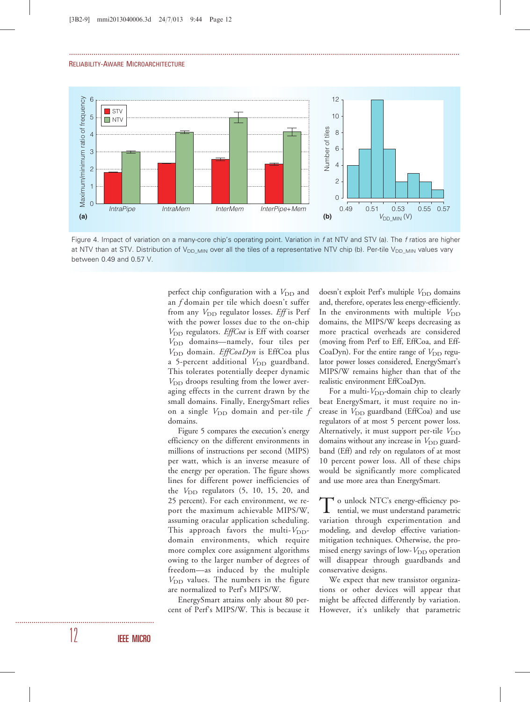

...............................................................................................................................................................................................

Figure 4. Impact of variation on a many-core chip's operating point. Variation in f at NTV and STV (a). The f ratios are higher at NTV than at STV. Distribution of V<sub>DD</sub> <sub>MIN</sub> over all the tiles of a representative NTV chip (b). Per-tile V<sub>DD MIN</sub> values vary between 0.49 and 0.57 V.

perfect chip configuration with a  $V_{\text{DD}}$  and an f domain per tile which doesn't suffer from any  $V_{\text{DD}}$  regulator losses. *Eff* is Perf with the power losses due to the on-chip  $V_{\text{DD}}$  regulators. *EffCoa* is Eff with coarser  $V_{\text{DD}}$  domains—namely, four tiles per  $V_{\text{DD}}$  domain. *EffCoaDyn* is EffCoa plus a 5-percent additional  $V_{\text{DD}}$  guardband. This tolerates potentially deeper dynamic  $V<sub>DD</sub>$  droops resulting from the lower averaging effects in the current drawn by the small domains. Finally, EnergySmart relies on a single  $V_{\text{DD}}$  domain and per-tile f domains.

Figure 5 compares the execution's energy efficiency on the different environments in millions of instructions per second (MIPS) per watt, which is an inverse measure of the energy per operation. The figure shows lines for different power inefficiencies of the  $V_{\text{DD}}$  regulators (5, 10, 15, 20, and 25 percent). For each environment, we report the maximum achievable MIPS/W, assuming oracular application scheduling. This approach favors the multi- $V_{DD}$ domain environments, which require more complex core assignment algorithms owing to the larger number of degrees of freedom—as induced by the multiple  $V_{\text{DD}}$  values. The numbers in the figure are normalized to Perf's MIPS/W.

EnergySmart attains only about 80 percent of Perf's MIPS/W. This is because it doesn't exploit Perf's multiple  $V_{\text{DD}}$  domains and, therefore, operates less energy-efficiently. In the environments with multiple  $V_{\text{DD}}$ domains, the MIPS/W keeps decreasing as more practical overheads are considered (moving from Perf to Eff, EffCoa, and Eff-CoaDyn). For the entire range of  $V_{\text{DD}}$  regulator power losses considered, EnergySmart's MIPS/W remains higher than that of the realistic environment EffCoaDyn.

For a multi- $V_{DD}$ -domain chip to clearly beat EnergySmart, it must require no increase in  $V_{\text{DD}}$  guardband (EffCoa) and use regulators of at most 5 percent power loss. Alternatively, it must support per-tile  $V_{\text{DD}}$ domains without any increase in  $V_{\text{DD}}$  guardband (Eff) and rely on regulators of at most 10 percent power loss. All of these chips would be significantly more complicated and use more area than EnergySmart.

To unlock NTC's energy-efficiency potential, we must understand parametric variation through experimentation and modeling, and develop effective variationmitigation techniques. Otherwise, the promised energy savings of low- $V_{\text{DD}}$  operation will disappear through guardbands and conservative designs.

We expect that new transistor organizations or other devices will appear that might be affected differently by variation. However, it's unlikely that parametric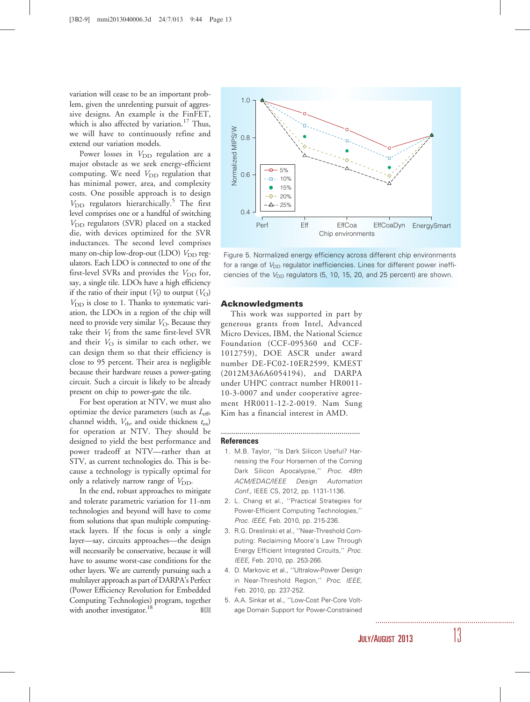variation will cease to be an important problem, given the unrelenting pursuit of aggressive designs. An example is the FinFET, which is also affected by variation.<sup>17</sup> Thus, we will have to continuously refine and extend our variation models.

Power losses in  $V_{\text{DD}}$  regulation are a major obstacle as we seek energy-efficient computing. We need  $V_{\text{DD}}$  regulation that has minimal power, area, and complexity costs. One possible approach is to design  $V_{\text{DD}}$  regulators hierarchically.<sup>5</sup> The first level comprises one or a handful of switching  $V_{\text{DD}}$  regulators (SVR) placed on a stacked die, with devices optimized for the SVR inductances. The second level comprises many on-chip low-drop-out (LDO)  $V_{\text{DD}}$  regulators. Each LDO is connected to one of the first-level SVRs and provides the  $V_{\text{DD}}$  for, say, a single tile. LDOs have a high efficiency if the ratio of their input  $(V_I)$  to output  $(V_O)$  $V_{\text{DD}}$  is close to 1. Thanks to systematic variation, the LDOs in a region of the chip will need to provide very similar  $V_{\Omega}$ . Because they take their  $V_I$  from the same first-level SVR and their  $V_{\text{O}}$  is similar to each other, we can design them so that their efficiency is close to 95 percent. Their area is negligible because their hardware reuses a power-gating circuit. Such a circuit is likely to be already present on chip to power-gate the tile.

For best operation at NTV, we must also optimize the device parameters (such as  $L_{\text{eff}}$ , channel width,  $V_{th}$ , and oxide thickness  $t_{ox}$ ) for operation at NTV. They should be designed to yield the best performance and power tradeoff at NTV—rather than at STV, as current technologies do. This is because a technology is typically optimal for only a relatively narrow range of  $V_{DD}$ .

In the end, robust approaches to mitigate and tolerate parametric variation for 11-nm technologies and beyond will have to come from solutions that span multiple computingstack layers. If the focus is only a single layer—say, circuits approaches—the design will necessarily be conservative, because it will have to assume worst-case conditions for the other layers. We are currently pursuing such a multilayer approach as part of DARPA's Perfect (Power Efficiency Revolution for Embedded Computing Technologies) program, together with another investigator.<sup>18</sup> MICRO



Figure 5. Normalized energy efficiency across different chip environments for a range of  $V_{\text{DD}}$  regulator inefficiencies. Lines for different power inefficiencies of the  $V_{\text{DD}}$  regulators (5, 10, 15, 20, and 25 percent) are shown.

## Acknowledgments

This work was supported in part by generous grants from Intel, Advanced Micro Devices, IBM, the National Science Foundation (CCF-095360 and CCF-1012759), DOE ASCR under award number DE-FC02-10ER2599, KMEST (2012M3A6A6054194), and DARPA under UHPC contract number HR0011- 10-3-0007 and under cooperative agreement HR0011-12-2-0019. Nam Sung Kim has a financial interest in AMD.

#### References

1. M.B. Taylor, ''Is Dark Silicon Useful? Harnessing the Four Horsemen of the Coming Dark Silicon Apocalypse,'' Proc. 49th ACM/EDAC/IEEE Design Automation Conf., IEEE CS, 2012, pp. 1131-1136.

....................................................................

- 2. L. Chang et al., ''Practical Strategies for Power-Efficient Computing Technologies,'' Proc. IEEE, Feb. 2010, pp. 215-236.
- 3. R.G. Dreslinski et al., ''Near-Threshold Computing: Reclaiming Moore's Law Through Energy Efficient Integrated Circuits,'' Proc. IEEE, Feb. 2010, pp. 253-266.
- 4. D. Markovic et al., ''Ultralow-Power Design in Near-Threshold Region,'' Proc. IEEE, Feb. 2010, pp. 237-252.
- 5. A.A. Sinkar et al., ''Low-Cost Per-Core Voltage Domain Support for Power-Constrained